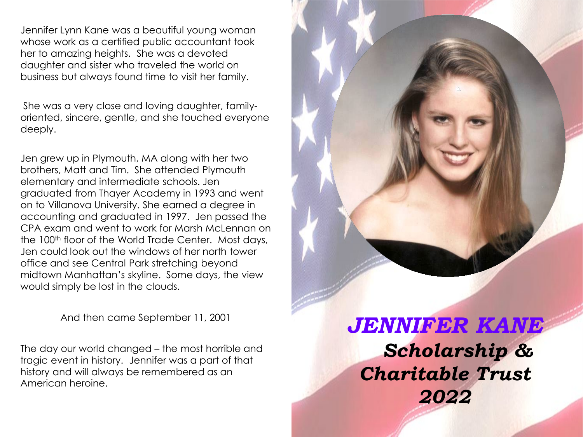Jennifer Lynn Kane was a beautiful young woman whose work as a certified public accountant took her to amazing heights. She was a devoted daughter and sister who traveled the world on business but always found time to visit her family.

She was a very close and loving daughter, familyoriented, sincere, gentle, and she touched everyone deeply.

Jen grew up in Plymouth, MA along with her two brothers, Matt and Tim. She attended Plymouth elementary and intermediate schools. Jen graduated from Thayer Academy in 1993 and went on to Villanova University. She earned a degree in accounting and graduated in 1997. Jen passed the CPA exam and went to work for Marsh McLennan on the 100<sup>th</sup> floor of the World Trade Center. Most days, Jen could look out the windows of her north tower office and see Central Park stretching beyond midtown Manhattan's skyline. Some days, the view would simply be lost in the clouds.

And then came September 11, 2001

The day our world changed – the most horrible and tragic event in history. Jennifer was a part of that history and will always be remembered as an American heroine.

*JENNIFER KANE Scholarship & Charitable Trust 2022*